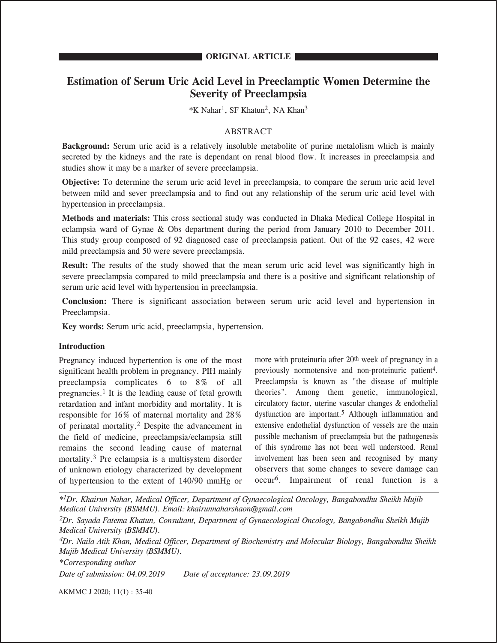# **Estimation of Serum Uric Acid Level in Preeclamptic Women Determine the Severity of Preeclampsia**

\*K Nahar1, SF Khatun2, NA Khan3

# ABSTRACT

**Background:** Serum uric acid is a relatively insoluble metabolite of purine metalolism which is mainly secreted by the kidneys and the rate is dependant on renal blood flow. It increases in preeclampsia and studies show it may be a marker of severe preeclampsia.

**Objective:** To determine the serum uric acid level in preeclampsia, to compare the serum uric acid level between mild and sever preeclampsia and to find out any relationship of the serum uric acid level with hypertension in preeclampsia.

**Methods and materials:** This cross sectional study was conducted in Dhaka Medical College Hospital in eclampsia ward of Gynae & Obs department during the period from January 2010 to December 2011. This study group composed of 92 diagnosed case of preeclampsia patient. Out of the 92 cases, 42 were mild preeclampsia and 50 were severe preeclampsia.

**Result:** The results of the study showed that the mean serum uric acid level was significantly high in severe preeclampsia compared to mild preeclampsia and there is a positive and significant relationship of serum uric acid level with hypertension in preeclampsia.

**Conclusion:** There is significant association between serum uric acid level and hypertension in Preeclampsia.

**Key words:** Serum uric acid, preeclampsia, hypertension.

# **Introduction**

Pregnancy induced hypertention is one of the most significant health problem in pregnancy. PIH mainly preeclampsia complicates 6 to 8% of all pregnancies.1 It is the leading cause of fetal growth retardation and infant morbidity and mortality. It is responsible for 16% of maternal mortality and 28% of perinatal mortality.2 Despite the advancement in the field of medicine, preeclampsia/eclampsia still remains the second leading cause of maternal mortality.3 Pre eclampsia is a multisystem disorder of unknown etiology characterized by development of hypertension to the extent of 140/90 mmHg or

more with proteinuria after 20<sup>th</sup> week of pregnancy in a previously normotensive and non-proteinuric patient<sup>4</sup>. Preeclampsia is known as "the disease of multiple theories". Among them genetic, immunological, circulatory factor, uterine vascular changes & endothelial dysfunction are important.5 Although inflammation and extensive endothelial dysfunction of vessels are the main possible mechanism of preeclampsia but the pathogenesis of this syndrome has not been well understood. Renal involvement has been seen and recognised by many observers that some changes to severe damage can occur6. Impairment of renal function is a

*\*1Dr. Khairun Nahar, Medical Officer, Department of Gynaecological Oncology, Bangabondhu Sheikh Mujib Medical University (BSMMU). Email: khairunnaharshaon@gmail.com*

*2Dr. Sayada Fatema Khatun, Consultant, Department of Gynaecological Oncology, Bangabondhu Sheikh Mujib Medical University (BSMMU).*

*4Dr. Naila Atik Khan, Medical Officer, Department of Biochemistry and Molecular Biology, Bangabondhu Sheikh Mujib Medical University (BSMMU).*

*\*Corresponding author*

*Date of submission: 04.09.2019 Date of acceptance: 23.09.2019*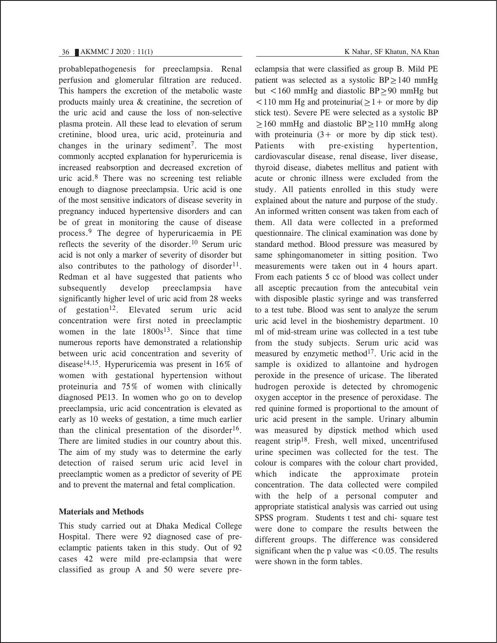probablepathogenesis for preeclampsia. Renal perfusion and glomerular filtration are reduced. This hampers the excretion of the metabolic waste products mainly urea & creatinine, the secretion of the uric acid and cause the loss of non-selective plasma protein. All these lead to elevation of serum cretinine, blood urea, uric acid, proteinuria and changes in the urinary sediment<sup>7</sup>. The most commonly accpted explanation for hyperuricemia is increased reabsorption and decreased excretion of uric acid.8 There was no screening test reliable enough to diagnose preeclampsia. Uric acid is one of the most sensitive indicators of disease severity in pregnancy induced hypertensive disorders and can be of great in monitoring the cause of disease process.9 The degree of hyperuricaemia in PE reflects the severity of the disorder.10 Serum uric acid is not only a marker of severity of disorder but also contributes to the pathology of disorder<sup>11</sup>. Redman et al have suggested that patients who subsequently develop preeclampsia have significantly higher level of uric acid from 28 weeks of gestation<sup>12</sup>. Elevated serum uric acid concentration were first noted in preeclamptic women in the late  $1800s^{13}$ . Since that time numerous reports have demonstrated a relationship between uric acid concentration and severity of disease14,15. Hyperuricemia was present in 16% of women with gestational hypertension without proteinuria and 75% of women with clinically diagnosed PE13. In women who go on to develop preeclampsia, uric acid concentration is elevated as early as 10 weeks of gestation, a time much earlier than the clinical presentation of the disorder<sup>16</sup>. There are limited studies in our country about this. The aim of my study was to determine the early detection of raised serum uric acid level in preeclamptic women as a predictor of severity of PE and to prevent the maternal and fetal complication.

# **Materials and Methods**

This study carried out at Dhaka Medical College Hospital. There were 92 diagnosed case of preeclamptic patients taken in this study. Out of 92 cases 42 were mild pre-eclampsia that were classified as group A and 50 were severe preeclampsia that were classified as group B. Mild PE patient was selected as a systolic  $BP \ge 140$  mmHg but <160 mmHg and diastolic  $BP \ge 90$  mmHg but  $\leq$  110 mm Hg and proteinuria( $\geq$  1+ or more by dip stick test). Severe PE were selected as a systolic BP  $\geq$ 160 mmHg and diastolic BP $\geq$ 110 mmHg along with proteinuria  $(3 + or more by dip stick test)$ . Patients with pre-existing hypertention, cardiovascular disease, renal disease, liver disease, thyroid disease, diabetes mellitus and patient with acute or chronic illness were excluded from the study. All patients enrolled in this study were explained about the nature and purpose of the study. An informed written consent was taken from each of them. All data were collected in a preformed questionnaire. The clinical examination was done by standard method. Blood pressure was measured by same sphingomanometer in sitting position. Two measurements were taken out in 4 hours apart. From each patients 5 cc of blood was collect under all asceptic precaution from the antecubital vein with disposible plastic syringe and was transferred to a test tube. Blood was sent to analyze the serum uric acid level in the bioshemistry department. 10 ml of mid-stream urine was collected in a test tube from the study subjects. Serum uric acid was measured by enzymetic method<sup>17</sup>. Uric acid in the sample is oxidized to allantoine and hydrogen peroxide in the presence of uricase. The liberated hudrogen peroxide is detected by chromogenic oxygen acceptor in the presence of peroxidase. The red quinine formed is proportional to the amount of uric acid present in the sample. Urinary albumin was measured by dipstick method which used reagent strip18. Fresh, well mixed, uncentrifused urine specimen was collected for the test. The colour is compares with the colour chart provided, which indicate the approximate protein concentration. The data collected were compiled with the help of a personal computer and appropriate statistical analysis was carried out using SPSS program. Students t test and chi- square test were done to compare the results between the

different groups. The difference was considered significant when the p value was  $\leq 0.05$ . The results were shown in the form tables.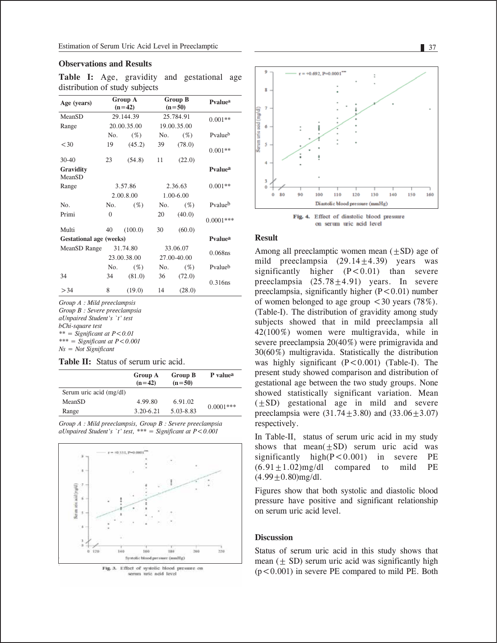### **Observations and Results**

**Table I:** Age, gravidity and gestational age distribution of study subjects

| Age (years)                    |             | Group A<br>$(n=42)$ |             | <b>Group B</b><br>$(n=50)$ | Pvalue <sup>a</sup> |
|--------------------------------|-------------|---------------------|-------------|----------------------------|---------------------|
| MeanSD                         |             | 29.144.39           | 25.784.91   |                            | $0.001**$           |
| Range                          |             | 20.00.35.00         | 19.00.35.00 |                            |                     |
|                                | No.         | $(\%)$              | No.         | $(\%)$                     | Pvalueb             |
| < 30                           | 19          | (45.2)              | 39          | (78.0)                     | $0.001**$           |
| $30-40$                        | 23          | (54.8)              | 11          | (22.0)                     |                     |
| Gravidity<br>MeanSD            |             |                     |             |                            | Pvalue <sup>a</sup> |
| Range                          | 3.57.86     |                     | 2.36.63     |                            | $0.001**$           |
|                                | 2.00.8.00   |                     | 1.00-6.00   |                            |                     |
| N <sub>0</sub> .               | No.         | $(\%)$              | No.         | $(\%)$                     | Pvalue <sup>b</sup> |
| Primi                          | $\theta$    |                     | 20          | (40.0)                     | $0.0001***$         |
| Multi                          | 40          | (100.0)             | 30          | (60.0)                     |                     |
| <b>Gestational age (weeks)</b> |             |                     |             |                            | Pvalue <sup>a</sup> |
| MeanSD Range                   |             | 31.74.80            | 33.06.07    |                            | $0.068$ ns          |
|                                | 23.00.38.00 |                     | 27.00-40.00 |                            |                     |
|                                | No.         | $($ %)              | No.         | $(\%)$                     | Pvalueb             |
| 34                             | 34          | (81.0)              | 36          | (72.0)                     | 0.316ns             |
| > 34                           | 8           | (19.0)              | 14          | (28.0)                     |                     |

*Group A : Mild preeclampsis Group B : Severe preeclampsia aUnpaired Student's `t' test bChi-square test*   $*** =$  Significant at  $P < 0.01$ *\*\*\* = Significant at P<0.001 Ns = Not Significant*

## **Table II:** Status of serum uric acid.

|                         | Group A<br>$(n=42)$ | <b>Group B</b><br>$(n=50)$ | P value <sup>a</sup> |  |
|-------------------------|---------------------|----------------------------|----------------------|--|
| Serum uric acid (mg/dl) |                     |                            |                      |  |
| MeanSD                  | 4.99.80             | 6.91.02                    |                      |  |
| Range                   | $3.20 - 6.21$       | 5.03-8.83                  | $0.0001***$          |  |

*Group A : Mild preeclampsis, Group B : Severe preeclampsia aUnpaired Student's `t' test, \*\*\* = Significant at P<0.001*





Fig. 4. Effect of diastolic blood pressure on serum uric acid level

#### **Result**

Among all preeclamptic women mean  $(\pm SD)$  age of mild preeclampsia  $(29.14+4.39)$  years was significantly higher  $(P<0.01)$  than severe preeclampsia  $(25.78 \pm 4.91)$  years. In severe preeclampsia, significantly higher  $(P<0.01)$  number of women belonged to age group  $\leq 30$  years (78%). (Table-I). The distribution of gravidity among study subjects showed that in mild preeclampsia all 42(100%) women were multigravida, while in severe preeclampsia 20(40%) were primigravida and 30(60%) multigravida. Statistically the distribution was highly significant  $(P < 0.001)$  (Table-I). The present study showed comparison and distribution of gestational age between the two study groups. None showed statistically significant variation. Mean  $(\pm SD)$  gestational age in mild and severe preeclampsia were  $(31.74 \pm 3.80)$  and  $(33.06 \pm 3.07)$ respectively.

In Table-II, status of serum uric acid in my study shows that mean $(\pm SD)$  serum uric acid was significantly high(P<0.001) in severe PE  $(6.91+1.02)$ mg/dl compared to mild PE  $(4.99 \pm 0.80)$ mg/dl.

Figures show that both systolic and diastolic blood pressure have positive and significant relationship on serum uric acid level.

### **Discussion**

Status of serum uric acid in this study shows that mean  $(± SD)$  serum uric acid was significantly high  $(p<0.001)$  in severe PE compared to mild PE. Both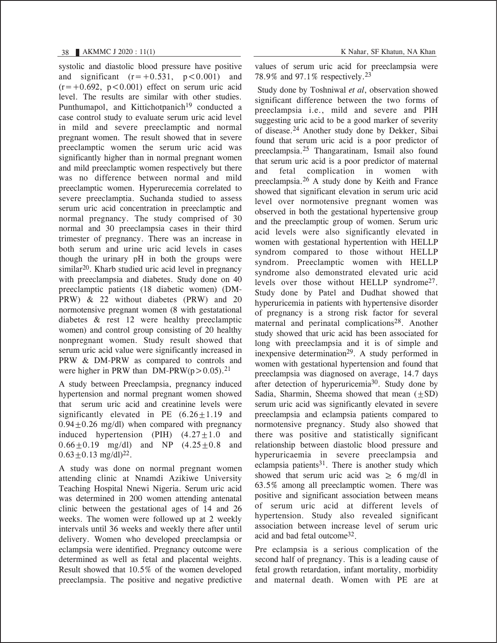systolic and diastolic blood pressure have positive and significant  $(r=+0.531, p<0.001)$  and  $(r=+0.692, p<0.001)$  effect on serum uric acid level. The results are similar with other studies. Punthumapol, and Kittichotpanich<sup>19</sup> conducted a case control study to evaluate serum uric acid level in mild and severe preeclamptic and normal pregnant women. The result showed that in severe preeclamptic women the serum uric acid was significantly higher than in normal pregnant women and mild preeclamptic women respectively but there was no difference between normal and mild preeclamptic women. Hyperurecemia correlated to severe preeclamptia. Suchanda studied to assess serum uric acid concentration in preeclamptic and normal pregnancy. The study comprised of 30 normal and 30 preeclampsia cases in their third trimester of pregnancy. There was an increase in both serum and urine uric acid levels in cases though the urinary pH in both the groups were similar<sup>20</sup>. Kharb studied uric acid level in pregnancy with preeclampsia and diabetes. Study done on 40 preeclamptic patients (18 diabetic women) (DM-PRW) & 22 without diabetes (PRW) and 20 normotensive pregnant women (8 with gestatational diabetes & rest 12 were healthy preeclamptic women) and control group consisting of 20 healthy nonpregnant women. Study result showed that serum uric acid value were significantly increased in PRW & DM-PRW as compared to controls and were higher in PRW than DM-PRW( $p > 0.05$ ).<sup>21</sup>

A study between Preeclampsia, pregnancy induced hypertension and normal pregnant women showed that serum uric acid and creatinine levels were significantly elevated in PE  $(6.26 \pm 1.19)$  and  $0.94 + 0.26$  mg/dl) when compared with pregnancy induced hypertension (PIH)  $(4.27 \pm 1.0)$  and  $0.66 \pm 0.19$  mg/dl) and NP  $(4.25 \pm 0.8)$  and  $0.63 + 0.13$  mg/dl)<sup>22</sup>.

A study was done on normal pregnant women attending clinic at Nnamdi Azikiwe University Teaching Hospital Nnewi Nigeria. Serum uric acid was determined in 200 women attending antenatal clinic between the gestational ages of 14 and 26 weeks. The women were followed up at 2 weekly intervals until 36 weeks and weekly there after until delivery. Women who developed preeclampsia or eclampsia were identified. Pregnancy outcome were determined as well as fetal and placental weights. Result showed that 10.5% of the women developed preeclampsia. The positive and negative predictive values of serum uric acid for preeclampsia were 78.9% and 97.1% respectively.23

 Study done by Toshniwal *et al*, observation showed significant difference between the two forms of preeclampsia i.e., mild and severe and PIH suggesting uric acid to be a good marker of severity of disease.24 Another study done by Dekker, Sibai found that serum uric acid is a poor predictor of preeclampsia.25 Thangaratinam, Ismail also found that serum uric acid is a poor predictor of maternal and fetal complication in women with preeclampsia.26 A study done by Keith and France showed that significant elevation in serum uric acid level over normotensive pregnant women was observed in both the gestational hypertensive group and the preeclamptic group of women. Serum uric acid levels were also significantly elevated in women with gestational hypertention with HELLP syndrom compared to those without HELLP syndrom. Preeclamptic women with HELLP syndrome also demonstrated elevated uric acid levels over those without HELLP syndrome27. Study done by Patel and Dudhat showed that hyperuricemia in patients with hypertensive disorder of pregnancy is a strong risk factor for several maternal and perinatal complications<sup>28</sup>. Another study showed that uric acid has been associated for long with preeclampsia and it is of simple and inexpensive determination<sup>29</sup>. A study performed in women with gestational hypertension and found that preeclampsia was diagnosed on average, 14.7 days after detection of hyperuricemia<sup>30</sup>. Study done by Sadia, Sharmin, Sheema showed that mean  $(+SD)$ serum uric acid was significantly elevated in severe preeclampsia and eclampsia patients compared to normotensive pregnancy. Study also showed that there was positive and statistically significant relationship between diastolic blood pressure and hyperuricaemia in severe preeclampsia and eclampsia patients<sup>31</sup>. There is another study which showed that serum uric acid was  $\geq 6$  mg/dl in 63.5% among all preeclamptic women. There was positive and significant association between means of serum uric acid at different levels of hypertension. Study also revealed significant association between increase level of serum uric acid and bad fetal outcome<sup>32</sup>.

Pre eclampsia is a serious complication of the second half of pregnancy. This is a leading cause of fetal growth retardation, infant mortality, morbidity and maternal death. Women with PE are at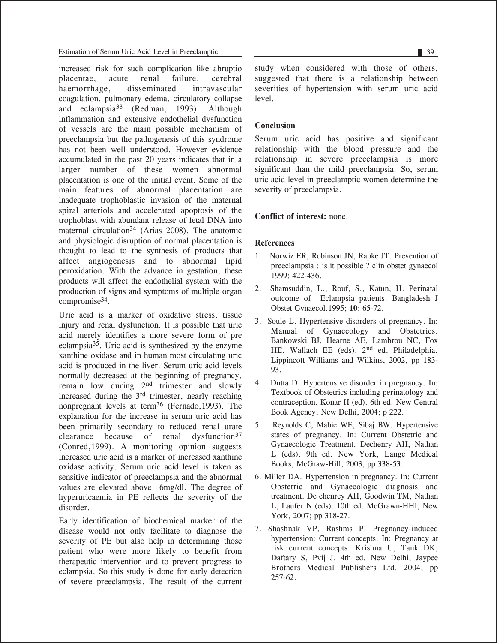increased risk for such complication like abruption<br>placentae. acute renal failure. cerebral placentae, acute renal failure, cerebral haemorrhage, disseminated intravascular coagulation, pulmonary edema, circulatory collapse and eclampsia33 (Redman, 1993). Although inflammation and extensive endothelial dysfunction of vessels are the main possible mechanism of preeclampsia but the pathogenesis of this syndrome has not been well understood. However evidence accumulated in the past 20 years indicates that in a larger number of these women abnormal placentation is one of the initial event. Some of the main features of abnormal placentation are inadequate trophoblastic invasion of the maternal spiral arteriols and accelerated apoptosis of the trophoblast with abundant release of fetal DNA into maternal circulation<sup>34</sup> (Arias 2008). The anatomic and physiologic disruption of normal placentation is thought to lead to the synthesis of products that affect angiogenesis and to abnormal lipid peroxidation. With the advance in gestation, these products will affect the endothelial system with the production of signs and symptoms of multiple organ compromise34.

Uric acid is a marker of oxidative stress, tissue injury and renal dysfunction. It is possible that uric acid merely identifies a more severe form of pre eclampsia35. Uric acid is synthesized by the enzyme xanthine oxidase and in human most circulating uric acid is produced in the liver. Serum uric acid levels normally decreased at the beginning of pregnancy, remain low during 2nd trimester and slowly increased during the 3rd trimester, nearly reaching nonpregnant levels at term36 (Fernado,1993). The explanation for the increase in serum uric acid has been primarily secondary to reduced renal urate clearance because of renal dysfunction<sup>37</sup> (Conred,1999). A monitoring opinion suggests increased uric acid is a marker of increased xanthine oxidase activity. Serum uric acid level is taken as sensitive indicator of preeclampsia and the abnormal values are elevated above 6mg/dl. The degree of hyperuricaemia in PE reflects the severity of the disorder.

Early identification of biochemical marker of the disease would not only facilitate to diagnose the severity of PE but also help in determining those patient who were more likely to benefit from therapeutic intervention and to prevent progress to eclampsia. So this study is done for early detection of severe preeclampsia. The result of the current study when considered with those of others, suggested that there is a relationship between severities of hypertension with serum uric acid level.

# **Conclusion**

Serum uric acid has positive and significant relationship with the blood pressure and the relationship in severe preeclampsia is more significant than the mild preeclampsia. So, serum uric acid level in preeclamptic women determine the severity of preeclampsia.

# **Conflict of interest:** none.

# **References**

- 1. Norwiz ER, Robinson JN, Rapke JT. Prevention of preeclampsia : is it possible ? clin obstet gynaecol 1999; 422-436.
- 2. Shamsuddin, L., Rouf, S., Katun, H. Perinatal outcome of Eclampsia patients. Bangladesh J Obstet Gynaecol.1995; **10**: 65-72.
- 3. Soule L. Hypertensive disorders of pregnancy. In: Manual of Gynaecology and Obstetrics. Bankowski BJ, Hearne AE, Lambrou NC, Fox HE, Wallach EE (eds). 2nd ed. Philadelphia, Lippincott Williams and Wilkins, 2002, pp 183- 93.
- 4. Dutta D. Hypertensive disorder in pregnancy. In: Textbook of Obstetrics including perinatology and contraception. Konar H (ed). 6th ed. New Central Book Agency, New Delhi, 2004; p 222.
- 5. Reynolds C, Mabie WE, Sibaj BW. Hypertensive states of pregnancy. In: Current Obstetric and Gynaecologic Treatment. Dechenry AH, Nathan L (eds). 9th ed. New York, Lange Medical Books, McGraw-Hill, 2003, pp 338-53.
- 6. Miller DA. Hypertension in pregnancy. In: Current Obstetric and Gynaecologic diagnosis and treatment. De chenrey AH, Goodwin TM, Nathan L, Laufer N (eds). 10th ed. McGrawn-HHI, New York, 2007; pp 318-27.
- 7. Shashnak VP, Rashms P. Pregnancy-induced hypertension: Current concepts. In: Pregnancy at risk current concepts. Krishna U, Tank DK, Daftary S, Pvij J. 4th ed. New Delhi, Jaypee Brothers Medical Publishers Ltd. 2004; pp 257-62.